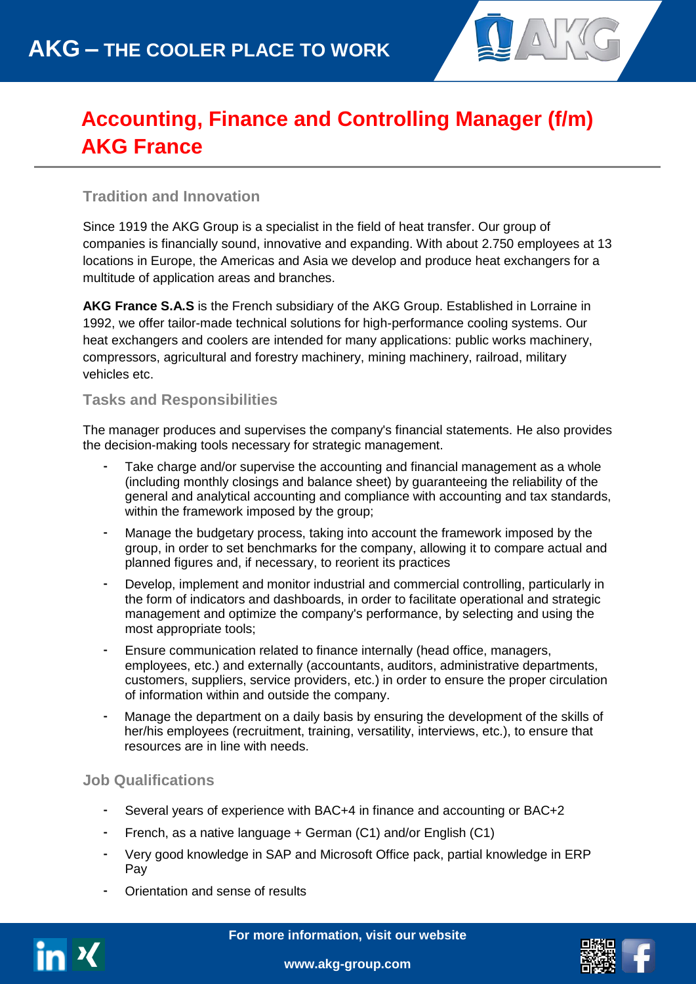

# **Accounting, Finance and Controlling Manager (f/m) AKG France**

### **Tradition and Innovation**

Since 1919 the AKG Group is a specialist in the field of heat transfer. Our group of companies is financially sound, innovative and expanding. With about 2.750 employees at 13 locations in Europe, the Americas and Asia we develop and produce heat exchangers for a multitude of application areas and branches.

**AKG France S.A.S** is the French subsidiary of the AKG Group. Established in Lorraine in 1992, we offer tailor-made technical solutions for high-performance cooling systems. Our heat exchangers and coolers are intended for many applications: public works machinery, compressors, agricultural and forestry machinery, mining machinery, railroad, military vehicles etc.

#### **Tasks and Responsibilities**

The manager produces and supervises the company's financial statements. He also provides the decision-making tools necessary for strategic management.

- Take charge and/or supervise the accounting and financial management as a whole (including monthly closings and balance sheet) by guaranteeing the reliability of the general and analytical accounting and compliance with accounting and tax standards, within the framework imposed by the group;
- Manage the budgetary process, taking into account the framework imposed by the group, in order to set benchmarks for the company, allowing it to compare actual and planned figures and, if necessary, to reorient its practices
- Develop, implement and monitor industrial and commercial controlling, particularly in the form of indicators and dashboards, in order to facilitate operational and strategic management and optimize the company's performance, by selecting and using the most appropriate tools;
- Ensure communication related to finance internally (head office, managers, employees, etc.) and externally (accountants, auditors, administrative departments, customers, suppliers, service providers, etc.) in order to ensure the proper circulation of information within and outside the company.
- Manage the department on a daily basis by ensuring the development of the skills of her/his employees (recruitment, training, versatility, interviews, etc.), to ensure that resources are in line with needs.

#### **Job Qualifications**

- Several years of experience with BAC+4 in finance and accounting or BAC+2
- French, as a native language + German (C1) and/or English (C1)
- Very good knowledge in SAP and Microsoft Office pack, partial knowledge in ERP Pay
- Orientation and sense of results



**For more information, visit our website**